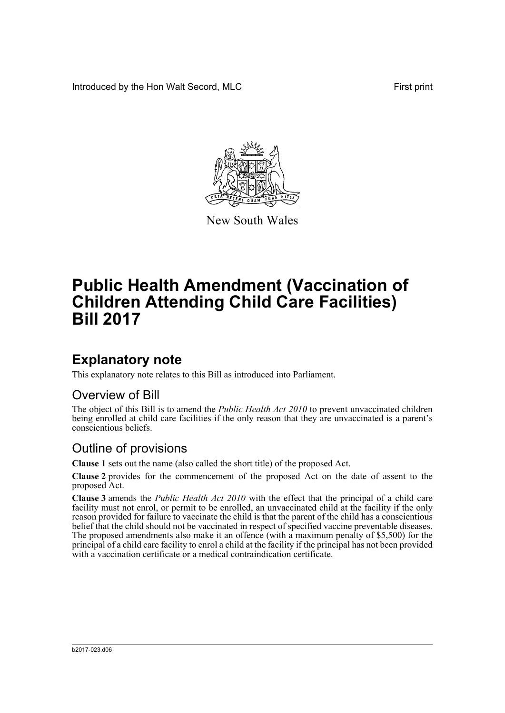Introduced by the Hon Walt Secord, MLC First print



New South Wales

# **Public Health Amendment (Vaccination of Children Attending Child Care Facilities) Bill 2017**

### **Explanatory note**

This explanatory note relates to this Bill as introduced into Parliament.

#### Overview of Bill

The object of this Bill is to amend the *Public Health Act 2010* to prevent unvaccinated children being enrolled at child care facilities if the only reason that they are unvaccinated is a parent's conscientious beliefs.

#### Outline of provisions

**Clause 1** sets out the name (also called the short title) of the proposed Act.

**Clause 2** provides for the commencement of the proposed Act on the date of assent to the proposed Act.

**Clause 3** amends the *Public Health Act 2010* with the effect that the principal of a child care facility must not enrol, or permit to be enrolled, an unvaccinated child at the facility if the only reason provided for failure to vaccinate the child is that the parent of the child has a conscientious belief that the child should not be vaccinated in respect of specified vaccine preventable diseases. The proposed amendments also make it an offence (with a maximum penalty of \$5,500) for the principal of a child care facility to enrol a child at the facility if the principal has not been provided with a vaccination certificate or a medical contraindication certificate.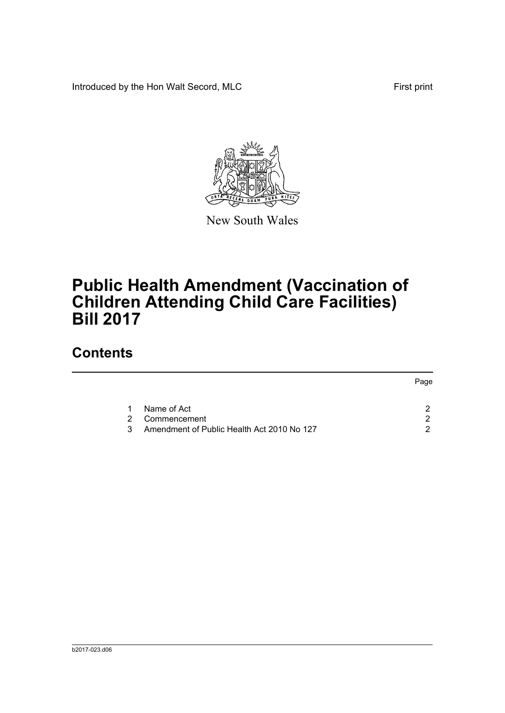Introduced by the Hon Walt Secord, MLC First print



New South Wales

# **Public Health Amendment (Vaccination of Children Attending Child Care Facilities) Bill 2017**

## **Contents**

|                                                 | Page |
|-------------------------------------------------|------|
| Name of Act<br>1.<br>Commencement<br>2          |      |
| Amendment of Public Health Act 2010 No 127<br>3 |      |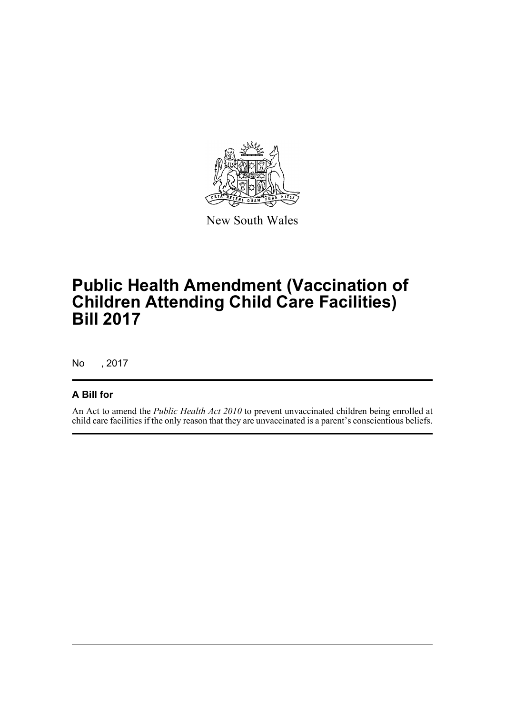

New South Wales

# **Public Health Amendment (Vaccination of Children Attending Child Care Facilities) Bill 2017**

No , 2017

#### **A Bill for**

An Act to amend the *Public Health Act 2010* to prevent unvaccinated children being enrolled at child care facilities if the only reason that they are unvaccinated is a parent's conscientious beliefs.